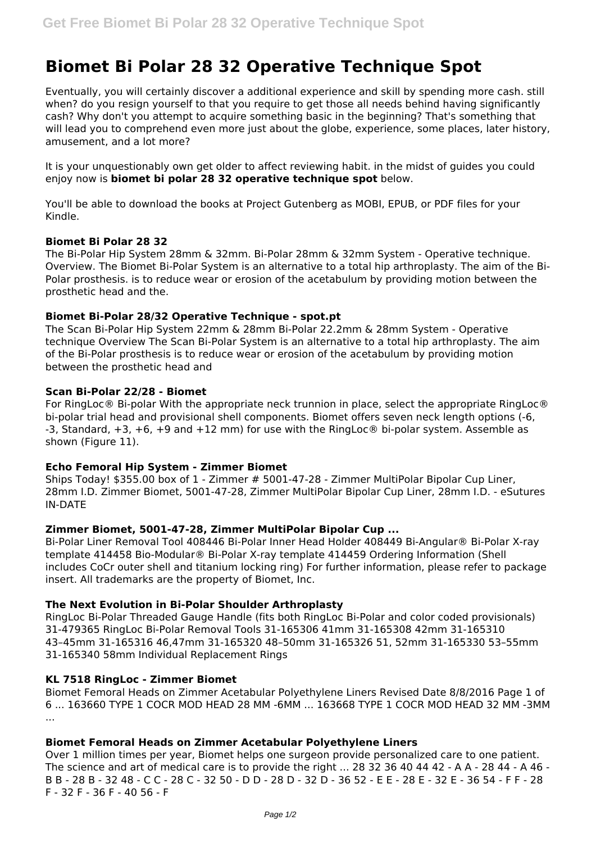# **Biomet Bi Polar 28 32 Operative Technique Spot**

Eventually, you will certainly discover a additional experience and skill by spending more cash. still when? do you resign yourself to that you require to get those all needs behind having significantly cash? Why don't you attempt to acquire something basic in the beginning? That's something that will lead you to comprehend even more just about the globe, experience, some places, later history, amusement, and a lot more?

It is your unquestionably own get older to affect reviewing habit. in the midst of guides you could enjoy now is **biomet bi polar 28 32 operative technique spot** below.

You'll be able to download the books at Project Gutenberg as MOBI, EPUB, or PDF files for your Kindle.

# **Biomet Bi Polar 28 32**

The Bi-Polar Hip System 28mm & 32mm. Bi-Polar 28mm & 32mm System - Operative technique. Overview. The Biomet Bi-Polar System is an alternative to a total hip arthroplasty. The aim of the Bi-Polar prosthesis. is to reduce wear or erosion of the acetabulum by providing motion between the prosthetic head and the.

# **Biomet Bi-Polar 28/32 Operative Technique - spot.pt**

The Scan Bi-Polar Hip System 22mm & 28mm Bi-Polar 22.2mm & 28mm System - Operative technique Overview The Scan Bi-Polar System is an alternative to a total hip arthroplasty. The aim of the Bi-Polar prosthesis is to reduce wear or erosion of the acetabulum by providing motion between the prosthetic head and

# **Scan Bi-Polar 22/28 - Biomet**

For RingLoc® Bi-polar With the appropriate neck trunnion in place, select the appropriate RingLoc® bi-polar trial head and provisional shell components. Biomet offers seven neck length options (-6, -3, Standard, +3, +6, +9 and +12 mm) for use with the RingLoc® bi-polar system. Assemble as shown (Figure 11).

#### **Echo Femoral Hip System - Zimmer Biomet**

Ships Today! \$355.00 box of 1 - Zimmer # 5001-47-28 - Zimmer MultiPolar Bipolar Cup Liner, 28mm I.D. Zimmer Biomet, 5001-47-28, Zimmer MultiPolar Bipolar Cup Liner, 28mm I.D. - eSutures IN-DATE

# **Zimmer Biomet, 5001-47-28, Zimmer MultiPolar Bipolar Cup ...**

Bi-Polar Liner Removal Tool 408446 Bi-Polar Inner Head Holder 408449 Bi-Angular® Bi-Polar X-ray template 414458 Bio-Modular® Bi-Polar X-ray template 414459 Ordering Information (Shell includes CoCr outer shell and titanium locking ring) For further information, please refer to package insert. All trademarks are the property of Biomet, Inc.

# **The Next Evolution in Bi-Polar Shoulder Arthroplasty**

RingLoc Bi-Polar Threaded Gauge Handle (fits both RingLoc Bi-Polar and color coded provisionals) 31-479365 RingLoc Bi-Polar Removal Tools 31-165306 41mm 31-165308 42mm 31-165310 43–45mm 31-165316 46,47mm 31-165320 48–50mm 31-165326 51, 52mm 31-165330 53–55mm 31-165340 58mm Individual Replacement Rings

#### **KL 7518 RingLoc - Zimmer Biomet**

Biomet Femoral Heads on Zimmer Acetabular Polyethylene Liners Revised Date 8/8/2016 Page 1 of 6 ... 163660 TYPE 1 COCR MOD HEAD 28 MM ‐6MM ... 163668 TYPE 1 COCR MOD HEAD 32 MM ‐3MM ...

# **Biomet Femoral Heads on Zimmer Acetabular Polyethylene Liners**

Over 1 million times per year, Biomet helps one surgeon provide personalized care to one patient. The science and art of medical care is to provide the right  $\ldots$  28 32 36 40 44 42 - A A - 28 44 - A 46 -B B - 28 B - 32 48 - C C - 28 C - 32 50 - D D - 28 D - 32 D - 36 52 - E E - 28 E - 32 E - 36 54 - F F - 28 F - 32 F - 36 F - 40 56 - F